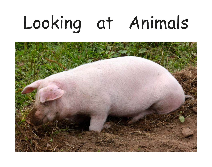# Looking at Animals

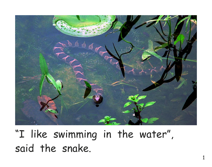

"I like swimming in the water", said the snake.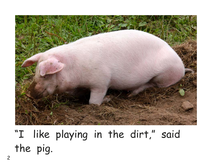

"I like playing in the dirt," said the pig.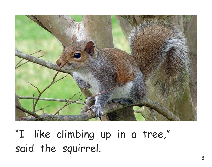

"I like climbing up in a tree," said the squirrel.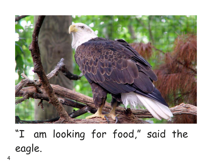

"I am looking for food," said the eagle.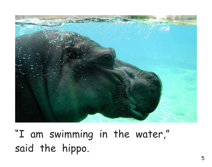

"I am swimming in the water," said the hippo.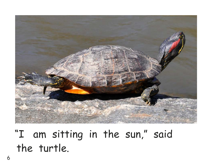

"I am sitting in the sun," said the turtle.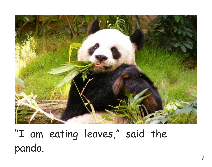

"I am eating leaves," said the panda.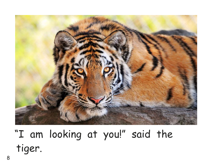

"I am looking at you!" said the tiger.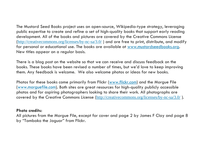The Mustard Seed Books project uses an open-source, Wikipedia-type strategy, leveraging public expertise to create and refine a set of high-quality books that support early reading development. All of the books and pictures are covered by the Creative Commons License (http://creativecommons.org/licenses/by-nc-sa/3.0/ ) and are free to print, distribute, and modify for personal or educational use. The books are available at www.mustardseedbooks.org. New titles appear on a regular basis.

There is a blog post on the website so that we can receive and discuss feedback on the books. These books have been revised a number of times, but we'd love to keep improving them. Any feedback is welcome. We also welcome photos or ideas for new books.

Photos for these books come primarily from Flickr (www.flickr.com) and the Morgue File (www.morguefile.com). Both sites are great resources for high-quality publicly accessible photos and for aspiring photographers looking to share their work. All photographs are covered by the Creative Commons License (http://creativecommons.org/licenses/by-nc-sa/3.0/ ).

#### **Photo credits:**

All pictures from the Morgue File, except for cover and page 2 by James F Clay and page 8 by "Tambako the Jaguar" from Flickr.